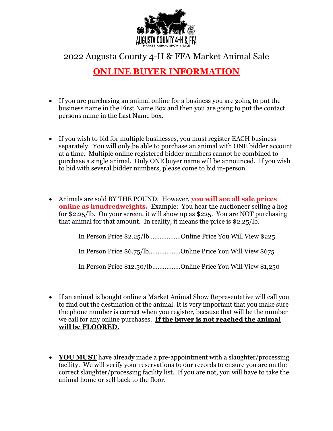

2022 Augusta County 4-H & FFA Market Animal Sale

## **ONLINE BUYER INFORMATION**

- If you are purchasing an animal online for a business you are going to put the business name in the First Name Box and then you are going to put the contact persons name in the Last Name box.
- If you wish to bid for multiple businesses, you must register EACH business separately. You will only be able to purchase an animal with ONE bidder account at a time. Multiple online registered bidder numbers cannot be combined to purchase a single animal. Only ONE buyer name will be announced. If you wish to bid with several bidder numbers, please come to bid in-person.
- Animals are sold BY THE POUND. However, **you will see all sale prices online as hundredweights.** Example: You hear the auctioneer selling a hog for \$2.25/lb. On your screen, it will show up as \$225. You are NOT purchasing that animal for that amount. In reality, it means the price is \$2.25/lb.

| In Person Price \$2.25/lbOnline Price You Will View \$225 |                                                              |
|-----------------------------------------------------------|--------------------------------------------------------------|
| In Person Price \$6.75/lbOnline Price You Will View \$675 |                                                              |
|                                                           | In Person Price \$12.50/lbOnline Price You Will View \$1,250 |

- If an animal is bought online a Market Animal Show Representative will call you to find out the destination of the animal. It is very important that you make sure the phone number is correct when you register, because that will be the number we call for any online purchases. **If the buyer is not reached the animal will be FLOORED.**
- **YOU MUST** have already made a pre-appointment with a slaughter/processing facility. We will verify your reservations to our records to ensure you are on the correct slaughter/processing facility list. If you are not, you will have to take the animal home or sell back to the floor.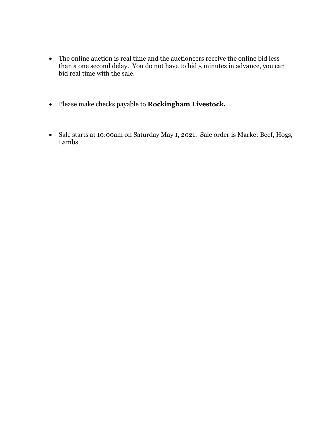- The online auction is real time and the auctioneers receive the online bid less than a one second delay. You do not have to bid 5 minutes in advance, you can bid real time with the sale.
- Please make checks payable to **Rockingham Livestock.**
- Sale starts at 10:00am on Saturday May 1, 2021. Sale order is Market Beef, Hogs, Lambs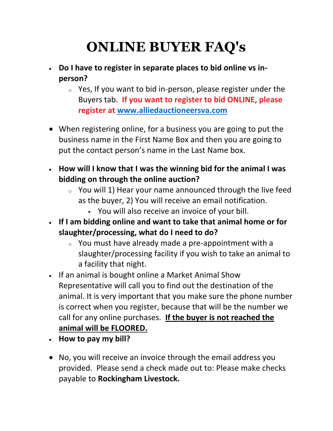## **ONLINE BUYER FAQ's**

- **Do I have to register in separate places to bid online vs inperson?**
	- $\circ$  Yes, If you want to bid in-person, please register under the Buyers tab. **If you want to register to bid ONLINE, please register at [www.alliedauctioneersva.com](http://www.alliedauctioneersva.com/)**
- When registering online, for a business you are going to put the business name in the First Name Box and then you are going to put the contact person's name in the Last Name box.
- **How will I know that I was the winning bid for the animal I was bidding on through the online auction?**
	- $\circ$  You will 1) Hear your name announced through the live feed as the buyer, 2) You will receive an email notification.
		- You will also receive an invoice of your bill.
- **If I am bidding online and want to take that animal home or for slaughter/processing, what do I need to do?**
	- <sup>o</sup> You must have already made a pre-appointment with a slaughter/processing facility if you wish to take an animal to a facility that night.
- If an animal is bought online a Market Animal Show Representative will call you to find out the destination of the animal. It is very important that you make sure the phone number is correct when you register, because that will be the number we call for any online purchases. **If the buyer is not reached the animal will be FLOORED.**
- **How to pay my bill?**
- No, you will receive an invoice through the email address you provided. Please send a check made out to: Please make checks payable to **Rockingham Livestock.**